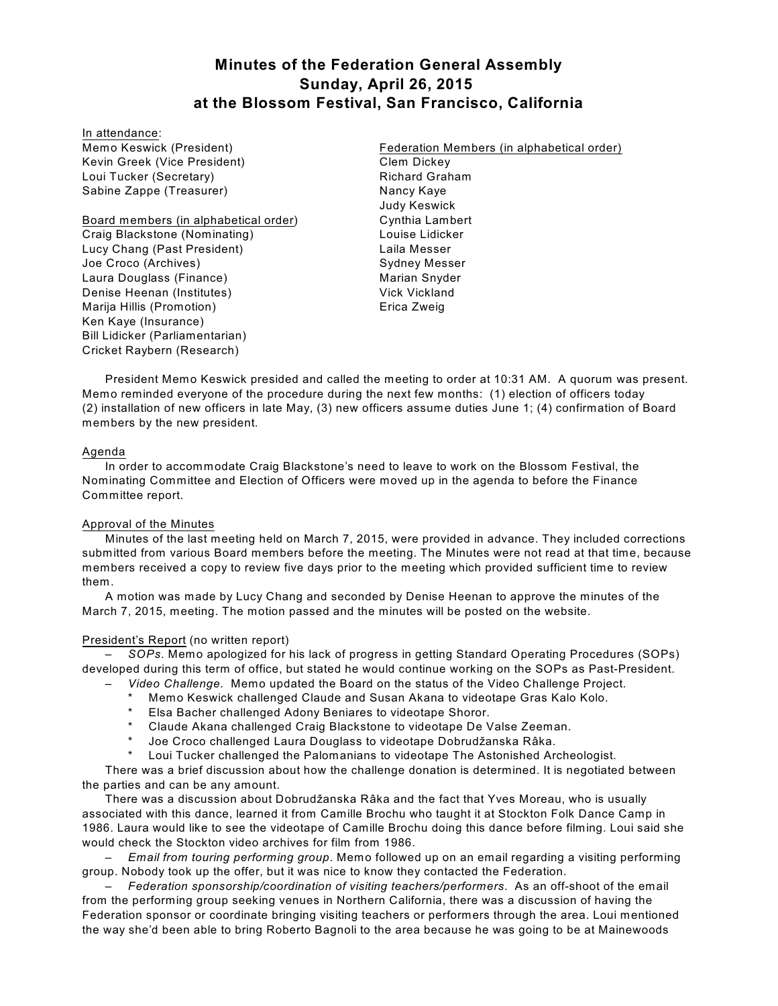# **Minutes of the Federation General Assembly Sunday, April 26, 2015 at the Blossom Festival, San Francisco, California**

In attendance: Memo Keswick (President) Kevin Greek (Vice President) Loui Tucker (Secretary) Sabine Zappe (Treasurer)

Board members (in alphabetical order) Craig Blackstone (Nominating) Lucy Chang (Past President) Joe Croco (Archives) Laura Douglass (Finance) Denise Heenan (Institutes) Marija Hillis (Promotion) Ken Kaye (Insurance) Bill Lidicker (Parliamentarian) Cricket Raybern (Research)

Federation Members (in alphabetical order) Clem Dickey Richard Graham Nancy Kaye Judy Keswick Cynthia Lambert Louise Lidicker Laila Messer Sydney Messer Marian Snyder Vick Vickland Erica Zweig

President Memo Keswick presided and called the meeting to order at 10:31 AM. A quorum was present. Memo reminded everyone of the procedure during the next few months: (1) election of officers today (2) installation of new officers in late May, (3) new officers assume duties June 1; (4) confirmation of Board members by the new president.

# Agenda

In order to accommodate Craig Blackstone's need to leave to work on the Blossom Festival, the Nominating Committee and Election of Officers were moved up in the agenda to before the Finance Committee report.

# Approval of the Minutes

Minutes of the last meeting held on March 7, 2015, were provided in advance. They included corrections submitted from various Board members before the meeting. The Minutes were not read at that time, because members received a copy to review five days prior to the meeting which provided sufficient time to review them.

A motion was made by Lucy Chang and seconded by Denise Heenan to approve the minutes of the March 7, 2015, meeting. The motion passed and the minutes will be posted on the website.

# President's Report (no written report)

– *SOPs*. Memo apologized for his lack of progress in getting Standard Operating Procedures (SOPs) developed during this term of office, but stated he would continue working on the SOPs as Past-President.

- *Video Challenge.* Memo updated the Board on the status of the Video Challenge Project.
- Memo Keswick challenged Claude and Susan Akana to videotape Gras Kalo Kolo.
- Elsa Bacher challenged Adony Beniares to videotape Shoror.
- Claude Akana challenged Craig Blackstone to videotape De Valse Zeeman.
- Joe Croco challenged Laura Douglass to videotape Dobrudžanska Râka.
- Loui Tucker challenged the Palomanians to videotape The Astonished Archeologist.

There was a brief discussion about how the challenge donation is determined. It is negotiated between the parties and can be any amount.

There was a discussion about Dobrudžanska Râka and the fact that Yves Moreau, who is usually associated with this dance, learned it from Camille Brochu who taught it at Stockton Folk Dance Camp in 1986. Laura would like to see the videotape of Camille Brochu doing this dance before filming. Loui said she would check the Stockton video archives for film from 1986.

– *Email from touring performing group*. Memo followed up on an email regarding a visiting performing group. Nobody took up the offer, but it was nice to know they contacted the Federation.

– *Federation sponsorship/coordination of visiting teachers/performers*. As an off-shoot of the email from the performing group seeking venues in Northern California, there was a discussion of having the Federation sponsor or coordinate bringing visiting teachers or performers through the area. Loui mentioned the way she'd been able to bring Roberto Bagnoli to the area because he was going to be at Mainewoods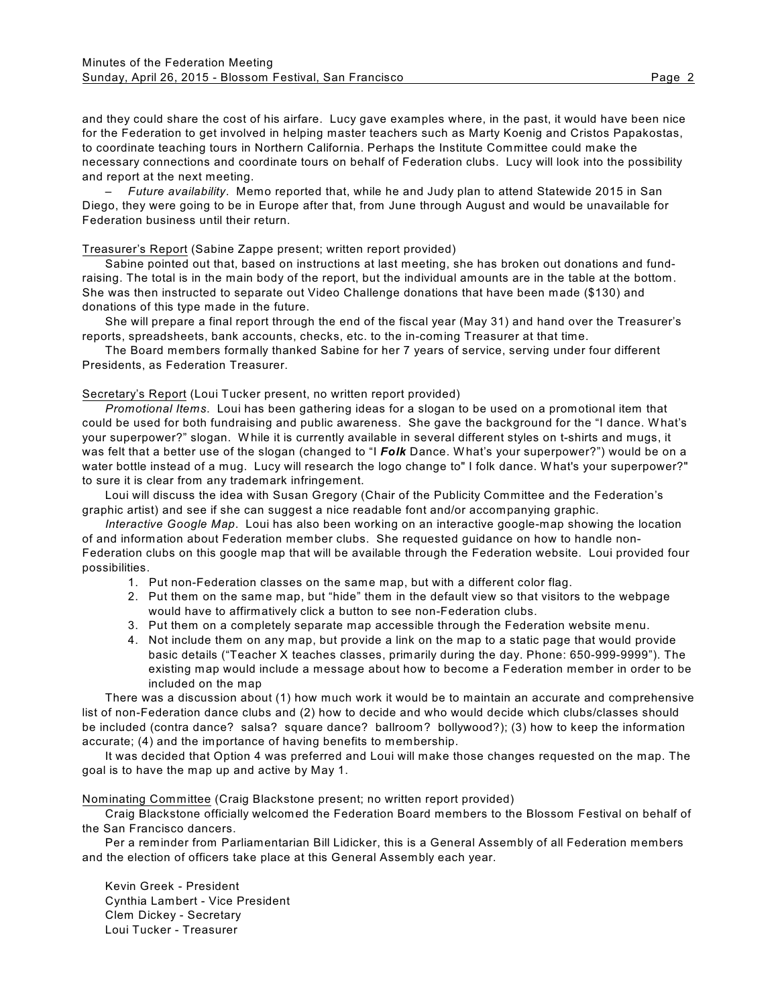and they could share the cost of his airfare. Lucy gave examples where, in the past, it would have been nice for the Federation to get involved in helping master teachers such as Marty Koenig and Cristos Papakostas, to coordinate teaching tours in Northern California. Perhaps the Institute Committee could make the necessary connections and coordinate tours on behalf of Federation clubs. Lucy will look into the possibility and report at the next meeting.

– *Future availability*. Memo reported that, while he and Judy plan to attend Statewide 2015 in San Diego, they were going to be in Europe after that, from June through August and would be unavailable for Federation business until their return.

#### Treasurer's Report (Sabine Zappe present; written report provided)

Sabine pointed out that, based on instructions at last meeting, she has broken out donations and fundraising. The total is in the main body of the report, but the individual amounts are in the table at the bottom. She was then instructed to separate out Video Challenge donations that have been made (\$130) and donations of this type made in the future.

She will prepare a final report through the end of the fiscal year (May 31) and hand over the Treasurer's reports, spreadsheets, bank accounts, checks, etc. to the in-coming Treasurer at that time.

The Board members formally thanked Sabine for her 7 years of service, serving under four different Presidents, as Federation Treasurer.

#### Secretary's Report (Loui Tucker present, no written report provided)

*Promotional Items*. Loui has been gathering ideas for a slogan to be used on a promotional item that could be used for both fundraising and public awareness. She gave the background for the "I dance. W hat's your superpower?" slogan. W hile it is currently available in several different styles on t-shirts and mugs, it was felt that a better use of the slogan (changed to "I *Folk* Dance. W hat's your superpower?") would be on a water bottle instead of a mug. Lucy will research the logo change to" I folk dance. W hat's your superpower?" to sure it is clear from any trademark infringement.

Loui will discuss the idea with Susan Gregory (Chair of the Publicity Committee and the Federation's graphic artist) and see if she can suggest a nice readable font and/or accompanying graphic.

*Interactive Google Map*. Loui has also been working on an interactive google-map showing the location of and information about Federation member clubs. She requested guidance on how to handle non-Federation clubs on this google map that will be available through the Federation website. Loui provided four possibilities.

- 1. Put non-Federation classes on the same map, but with a different color flag.
- 2. Put them on the same map, but "hide" them in the default view so that visitors to the webpage would have to affirmatively click a button to see non-Federation clubs.
- 3. Put them on a completely separate map accessible through the Federation website menu.
- 4. Not include them on any map, but provide a link on the map to a static page that would provide basic details ("Teacher X teaches classes, primarily during the day. Phone: 650-999-9999"). The existing map would include a message about how to become a Federation member in order to be included on the map

There was a discussion about (1) how much work it would be to maintain an accurate and comprehensive list of non-Federation dance clubs and (2) how to decide and who would decide which clubs/classes should be included (contra dance? salsa? square dance? ballroom? bollywood?); (3) how to keep the information accurate; (4) and the importance of having benefits to membership.

It was decided that Option 4 was preferred and Loui will make those changes requested on the map. The goal is to have the map up and active by May 1.

# Nominating Committee (Craig Blackstone present; no written report provided)

Craig Blackstone officially welcomed the Federation Board members to the Blossom Festival on behalf of the San Francisco dancers.

Per a reminder from Parliamentarian Bill Lidicker, this is a General Assembly of all Federation members and the election of officers take place at this General Assembly each year.

Kevin Greek - President Cynthia Lambert - Vice President Clem Dickey - Secretary Loui Tucker - Treasurer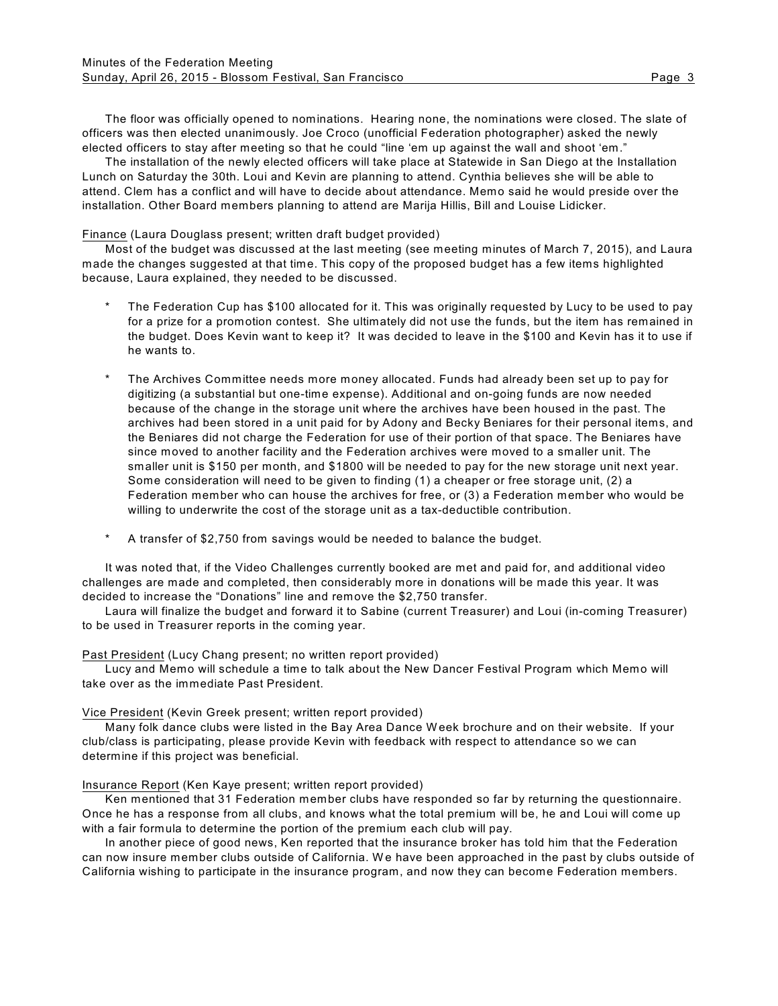The floor was officially opened to nominations. Hearing none, the nominations were closed. The slate of officers was then elected unanimously. Joe Croco (unofficial Federation photographer) asked the newly elected officers to stay after meeting so that he could "line 'em up against the wall and shoot 'em."

The installation of the newly elected officers will take place at Statewide in San Diego at the Installation Lunch on Saturday the 30th. Loui and Kevin are planning to attend. Cynthia believes she will be able to attend. Clem has a conflict and will have to decide about attendance. Memo said he would preside over the installation. Other Board members planning to attend are Marija Hillis, Bill and Louise Lidicker.

#### Finance (Laura Douglass present; written draft budget provided)

Most of the budget was discussed at the last meeting (see meeting minutes of March 7, 2015), and Laura made the changes suggested at that time. This copy of the proposed budget has a few items highlighted because, Laura explained, they needed to be discussed.

- The Federation Cup has \$100 allocated for it. This was originally requested by Lucy to be used to pay for a prize for a promotion contest. She ultimately did not use the funds, but the item has remained in the budget. Does Kevin want to keep it? It was decided to leave in the \$100 and Kevin has it to use if he wants to.
- The Archives Committee needs more money allocated. Funds had already been set up to pay for digitizing (a substantial but one-time expense). Additional and on-going funds are now needed because of the change in the storage unit where the archives have been housed in the past. The archives had been stored in a unit paid for by Adony and Becky Beniares for their personal items, and the Beniares did not charge the Federation for use of their portion of that space. The Beniares have since moved to another facility and the Federation archives were moved to a smaller unit. The smaller unit is \$150 per month, and \$1800 will be needed to pay for the new storage unit next year. Some consideration will need to be given to finding (1) a cheaper or free storage unit, (2) a Federation member who can house the archives for free, or (3) a Federation member who would be willing to underwrite the cost of the storage unit as a tax-deductible contribution.
- A transfer of \$2,750 from savings would be needed to balance the budget.

It was noted that, if the Video Challenges currently booked are met and paid for, and additional video challenges are made and completed, then considerably more in donations will be made this year. It was decided to increase the "Donations" line and remove the \$2,750 transfer.

Laura will finalize the budget and forward it to Sabine (current Treasurer) and Loui (in-coming Treasurer) to be used in Treasurer reports in the coming year.

Past President (Lucy Chang present; no written report provided)

Lucy and Memo will schedule a time to talk about the New Dancer Festival Program which Memo will take over as the immediate Past President.

#### Vice President (Kevin Greek present; written report provided)

Many folk dance clubs were listed in the Bay Area Dance W eek brochure and on their website. If your club/class is participating, please provide Kevin with feedback with respect to attendance so we can determine if this project was beneficial.

#### Insurance Report (Ken Kaye present; written report provided)

Ken mentioned that 31 Federation member clubs have responded so far by returning the questionnaire. Once he has a response from all clubs, and knows what the total premium will be, he and Loui will come up with a fair formula to determine the portion of the premium each club will pay.

In another piece of good news, Ken reported that the insurance broker has told him that the Federation can now insure member clubs outside of California. We have been approached in the past by clubs outside of California wishing to participate in the insurance program, and now they can become Federation members.